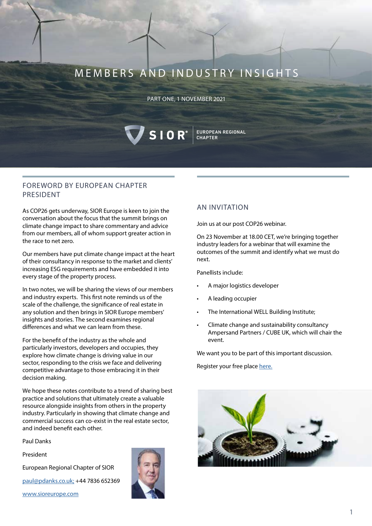# MEMBERS AND INDUSTRY INSIGHTS

#### PART ONE, 1 NOVEMBER 2021

VSIOR

# FOREWORD BY EUROPEAN CHAPTER PRESIDENT

As COP26 gets underway, SIOR Europe is keen to join the conversation about the focus that the summit brings on climate change impact to share commentary and advice from our members, all of whom support greater action in the race to net zero.

Our members have put climate change impact at the heart of their consultancy in response to the market and clients' increasing ESG requirements and have embedded it into every stage of the property process.

In two notes, we will be sharing the views of our members and industry experts. This first note reminds us of the scale of the challenge, the significance of real estate in any solution and then brings in SIOR Europe members' insights and stories. The second examines regional differences and what we can learn from these.

For the benefit of the industry as the whole and particularly investors, developers and occupies, they explore how climate change is driving value in our sector, responding to the crisis we face and delivering competitive advantage to those embracing it in their decision making.

We hope these notes contribute to a trend of sharing best practice and solutions that ultimately create a valuable resource alongside insights from others in the property industry. Particularly in showing that climate change and commercial success can co-exist in the real estate sector, and indeed benefit each other.

Paul Danks

President

European Regional Chapter of SIOR

[paul@pdanks.co.uk;](mailto:paul%40pdanks.co.uk%3B?subject=) +44 7836 652369

[www.sioreurope.com](http://www.sioreurope.com)



## AN INVITATION

EUROPEAN REGIONAL

**CHAPTER** 

Join us at our post COP26 webinar.

On 23 November at 18.00 CET, we're bringing together industry leaders for a webinar that will examine the outcomes of the summit and identify what we must do next.

Panellists include:

- A major logistics developer
- A leading occupier
- The International WELL Building Institute;
- Climate change and sustainability consultancy Ampersand Partners / CUBE UK, which will chair the event.

We want you to be part of this important discussion.

Register your free place [here.](https://us02web.zoom.us/webinar/register/5316353536973/WN_cJmaUZ6ES_KEvInFdPm7uw)

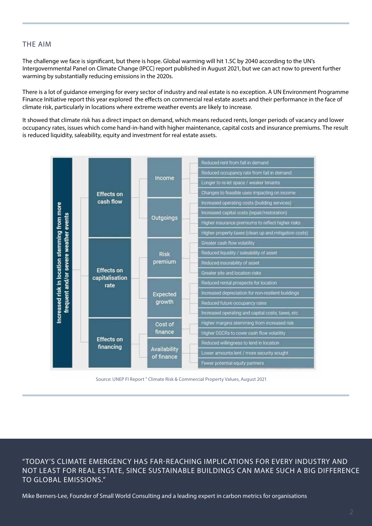## THE AIM

The challenge we face is significant, but there is hope. Global warming will hit 1.5C by 2040 according to the UN's Intergovernmental Panel on Climate Change (IPCC) report published in August 2021, but we can act now to prevent further warming by substantially reducing emissions in the 2020s.

There is a lot of guidance emerging for every sector of industry and real estate is no exception. A UN Environment Programme Finance Initiative report this year explored the effects on commercial real estate assets and their performance in the face of climate risk, particularly in locations where extreme weather events are likely to increase.

It showed that climate risk has a direct impact on demand, which means reduced rents, longer periods of vacancy and lower occupancy rates, issues which come hand-in-hand with higher maintenance, capital costs and insurance premiums. The result is reduced liquidity, saleability, equity and investment for real estate assets.



Source: UNEP FI Report " Climate Risk & Commercial Property Values, August 2021

"TODAY'S CLIMATE EMERGENCY HAS FAR-REACHING IMPLICATIONS FOR EVERY INDUSTRY AND NOT LEAST FOR REAL ESTATE, SINCE SUSTAINABLE BUILDINGS CAN MAKE SUCH A BIG DIFFERENCE TO GLOBAL EMISSIONS."

Mike Berners-Lee, Founder of [Small World Consulting](https://www.sw-consulting.co.uk/) and a leading expert in carbon metrics for organisations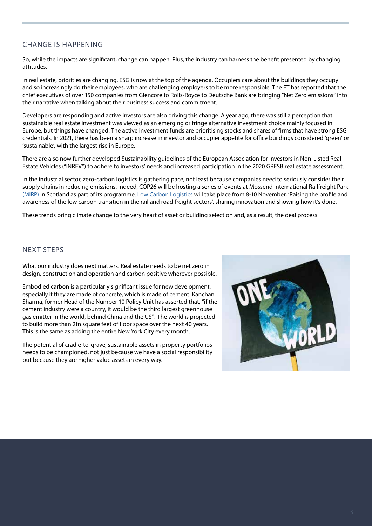# CHANGE IS HAPPENING

So, while the impacts are significant, change can happen. Plus, the industry can harness the benefit presented by changing attitudes.

In real estate, priorities are changing. ESG is now at the top of the agenda. Occupiers care about the buildings they occupy and so increasingly do their employees, who are challenging employers to be more responsible. The FT has reported that the chief executives of over 150 companies from Glencore to Rolls-Royce to Deutsche Bank are bringing "Net Zero emissions" into their narrative when talking about their business success and commitment.

Developers are responding and active investors are also driving this change. A year ago, there was still a perception that sustainable real estate investment was viewed as an emerging or fringe alternative investment choice mainly focused in Europe, but things have changed. The active investment funds are prioritising stocks and shares of firms that have strong ESG credentials. In 2021, there has been a sharp increase in investor and occupier appetite for office buildings considered 'green' or 'sustainable', with the largest rise in Europe.

There are also now further developed Sustainability guidelines of the European Association for Investors in Non-Listed Real Estate Vehicles ("INREV") to adhere to investors' needs and increased participation in the 2020 GRESB real estate assessment.

In the industrial sector, zero-carbon logistics is gathering pace, not least because companies need to seriously consider their supply chains in reducing emissions. Indeed, COP26 will be hosting a series of events at Mossend International Railfreight Park [\(MIRP\)](https://mirp.co.uk/) in Scotland as part of its programme. [Low Carbon Logistics w](https://lowcarbonlogistics.co.uk/)ill take place from 8-10 November, 'Raising the profile and awareness of the low carbon transition in the rail and road freight sectors', sharing innovation and showing how it's done.

These trends bring climate change to the very heart of asset or building selection and, as a result, the deal process.

## NEXT STEPS

What our industry does next matters. Real estate needs to be net zero in design, construction and operation and carbon positive wherever possible.

Embodied carbon is a particularly significant issue for new development, especially if they are made of concrete, which is made of cement. Kanchan Sharma, former Head of the Number 10 Policy Unit has asserted that, "if the cement industry were a country, it would be the third largest greenhouse gas emitter in the world, behind China and the US". The world is projected to build more than 2tn square feet of floor space over the next 40 years. This is the same as adding the entire New York City every month.

The potential of cradle-to-grave, sustainable assets in property portfolios needs to be championed, not just because we have a social responsibility but because they are higher value assets in every way.

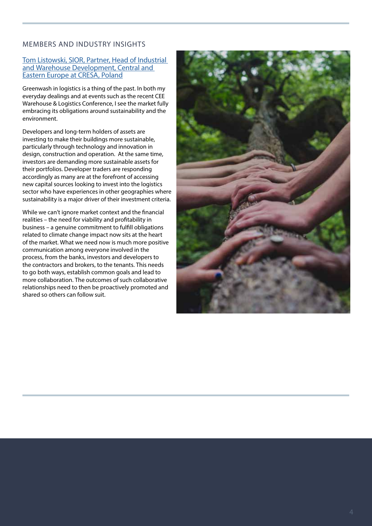## MEMBERS AND INDUSTRY INSIGHTS

#### [Tom Listowski, SIOR, Partner, Head of Industrial](https://www.cresa.com/)  [and Warehouse Development, Central and](https://www.cresa.com/)  [Eastern Europe at CRESA, Poland](https://www.cresa.com/)

Greenwash in logistics is a thing of the past. In both my everyday dealings and at events such as the recent CEE Warehouse & Logistics Conference, I see the market fully embracing its obligations around sustainability and the environment.

Developers and long-term holders of assets are investing to make their buildings more sustainable, particularly through technology and innovation in design, construction and operation. At the same time, investors are demanding more sustainable assets for their portfolios. Developer traders are responding accordingly as many are at the forefront of accessing new capital sources looking to invest into the logistics sector who have experiences in other geographies where sustainability is a major driver of their investment criteria.

While we can't ignore market context and the financial realities – the need for viability and profitability in business – a genuine commitment to fulfill obligations related to climate change impact now sits at the heart of the market. What we need now is much more positive communication among everyone involved in the process, from the banks, investors and developers to the contractors and brokers, to the tenants. This needs to go both ways, establish common goals and lead to more collaboration. The outcomes of such collaborative relationships need to then be proactively promoted and shared so others can follow suit.

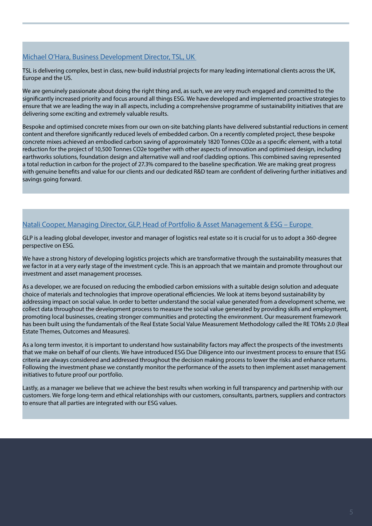# [Michael O'Hara, Business Development Director, TSL, UK](https://tslprojects.com/)

TSL is delivering complex, best in class, new-build industrial projects for many leading international clients across the UK, Europe and the US.

We are genuinely passionate about doing the right thing and, as such, we are very much engaged and committed to the significantly increased priority and focus around all things ESG. We have developed and implemented proactive strategies to ensure that we are leading the way in all aspects, including a comprehensive programme of sustainability initiatives that are delivering some exciting and extremely valuable results.

Bespoke and optimised concrete mixes from our own on-site batching plants have delivered substantial reductions in cement content and therefore significantly reduced levels of embedded carbon. On a recently completed project, these bespoke concrete mixes achieved an embodied carbon saving of approximately 1820 Tonnes CO2e as a specific element, with a total reduction for the project of 10,500 Tonnes CO2e together with other aspects of innovation and optimised design, including earthworks solutions, foundation design and alternative wall and roof cladding options. This combined saving represented a total reduction in carbon for the project of 27.3% compared to the baseline specification. We are making great progress with genuine benefits and value for our clients and our dedicated R&D team are confident of delivering further initiatives and savings going forward.

# [Natali Cooper, Managing Director, GLP, Head of Portfolio & Asset Management & ESG – Europe](https://www.glp.com/global/)

GLP is a leading global developer, investor and manager of logistics real estate so it is crucial for us to adopt a 360-degree perspective on ESG.

We have a strong history of developing logistics projects which are transformative through the sustainability measures that we factor in at a very early stage of the investment cycle. This is an approach that we maintain and promote throughout our investment and asset management processes.

As a developer, we are focused on reducing the embodied carbon emissions with a suitable design solution and adequate choice of materials and technologies that improve operational efficiencies. We look at items beyond sustainability by addressing impact on social value. In order to better understand the social value generated from a development scheme, we collect data throughout the development process to measure the social value generated by providing skills and employment, promoting local businesses, creating stronger communities and protecting the environment. Our measurement framework has been built using the fundamentals of the Real Estate Social Value Measurement Methodology called the RE TOMs 2.0 (Real Estate Themes, Outcomes and Measures).

As a long term investor, it is important to understand how sustainability factors may affect the prospects of the investments that we make on behalf of our clients. We have introduced ESG Due Diligence into our investment process to ensure that ESG criteria are always considered and addressed throughout the decision making process to lower the risks and enhance returns. Following the investment phase we constantly monitor the performance of the assets to then implement asset management initiatives to future proof our portfolio.

Lastly, as a manager we believe that we achieve the best results when working in full transparency and partnership with our customers. We forge long-term and ethical relationships with our customers, consultants, partners, suppliers and contractors to ensure that all parties are integrated with our ESG values.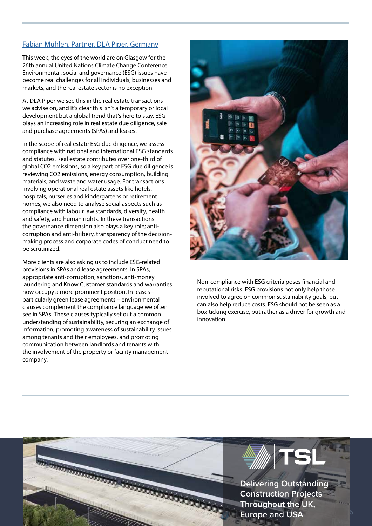## [Fabian Mühlen, Partner, DLA Piper, Germany](https://www.dlapiper.com/en/uk/)

This week, the eyes of the world are on Glasgow for the 26th annual United Nations Climate Change Conference. Environmental, social and governance (ESG) issues have become real challenges for all individuals, businesses and markets, and the real estate sector is no exception.

At DLA Piper we see this in the real estate transactions we advise on, and it's clear this isn't a temporary or local development but a global trend that's here to stay. ESG plays an increasing role in real estate due diligence, sale and purchase agreements (SPAs) and leases.

In the scope of real estate ESG due diligence, we assess compliance with national and international ESG standards and statutes. Real estate contributes over one-third of global CO2 emissions, so a key part of ESG due diligence is reviewing CO2 emissions, energy consumption, building materials, and waste and water usage. For transactions involving operational real estate assets like hotels, hospitals, nurseries and kindergartens or retirement homes, we also need to analyse social aspects such as compliance with labour law standards, diversity, health and safety, and human rights. In these transactions the governance dimension also plays a key role; anticorruption and anti-bribery, transparency of the decisionmaking process and corporate codes of conduct need to be scrutinized.

More clients are also asking us to include ESG-related provisions in SPAs and lease agreements. In SPAs, appropriate anti-corruption, sanctions, anti-money laundering and Know Customer standards and warranties now occupy a more prominent position. In leases – particularly green lease agreements – environmental clauses complement the compliance language we often see in SPAs. These clauses typically set out a common understanding of sustainability, securing an exchange of information, promoting awareness of sustainability issues among tenants and their employees, and promoting communication between landlords and tenants with the involvement of the property or facility management company.



Non-compliance with ESG criteria poses financial and reputational risks. ESG provisions not only help those involved to agree on common sustainability goals, but can also help reduce costs. ESG should not be seen as a box-ticking exercise, but rather as a driver for growth and innovation.

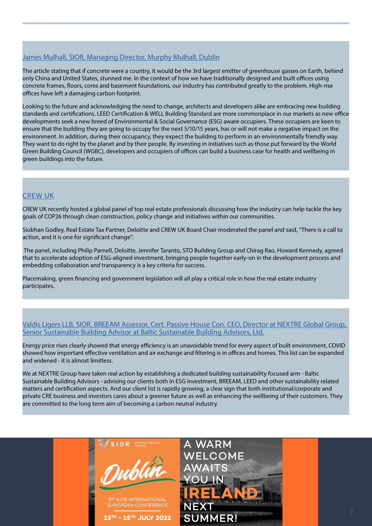# [James Mulhall, SIOR, Managing Director, Murphy Mulhall, Dublin](https://www.murphymulhall.ie/)

The article stating that if concrete were a country, it would be the 3rd largest emitter of greenhouse gasses on Earth, behind only China and United States, stunned me. In the context of how we have traditionally designed and built offices using concrete frames, floors, cores and basement foundations, our industry has contributed greatly to the problem. High-rise offices have left a damaging carbon footprint.

Looking to the future and acknowledging the need to change, architects and developers alike are embracing new building standards and certifications. LEED Certification & WELL Building Standard are more commonplace in our markets as new office developments seek a new breed of Environmental & Social Governance (ESG) aware occupiers. These occupiers are keen to ensure that the building they are going to occupy for the next 5/10/15 years, has or will not make a negative impact on the environment. In addition, during their occupancy, they expect the building to perform in an environmentally friendly way. They want to do right by the planet and by their people. By investing in initiatives such as those put forward by the World Green Building Council (WGBC), developers and occupiers of offices can build a business case for health and wellbeing in green buildings into the future.

# [CREW UK](https://crewuk.org/about)

CREW UK recently hosted a global panel of top real estate professionals discussing how the industry can help tackle the key goals of COP26 through clean construction, policy change and initiatives within our communities.

Siobhan Godley, Real Estate Tax Partner, Deloitte and CREW UK Board Chair moderated the panel and said, "There is a call to action, and it is one for significant change".

 The panel, including Philip Parnell, Deloitte, Jennifer Taranto, STO Building Group and Chirag Rao, Howard Kennedy, agreed that to accelerate adoption of ESG-aligned investment, bringing people together early-on in the development process and embedding collaboration and transparency is a key criteria for success.

Placemaking, green financing and government legislation will all play a critical role in how the real estate industry participates.

#### [Valdis Ligers LLB, SIOR, BREEAM Assessor, Cert. Passive House Con. CEO, Director at NEXTRE Global Group,](http://nextreglobal.com/)  [Senior Sustainable Building Advisor at Baltic Sustainable Building Advisors, Ltd.](http://nextreglobal.com/)

Energy price rises clearly showed that energy efficiency is an unavoidable trend for every aspect of built environment, COVID showed how important effective ventilation and air exchange and filtering is in offices and homes. This list can be expanded and widened - it is almost limitless.

We at NEXTRE Group have taken real action by establishing a dedicated building sustainability focused arm - Baltic Sustainable Building Advisors - advising our clients both in ESG investment, BREEAM, LEED and other sustainability related matters and certification aspects. And our client list is rapidly growing, a clear sign that both institutional/corporate and private CRE business and investors cares about a greener future as well as enhancing the wellbeing of their customers. They are committed to the long term aim of becoming a carbon neutral industry.